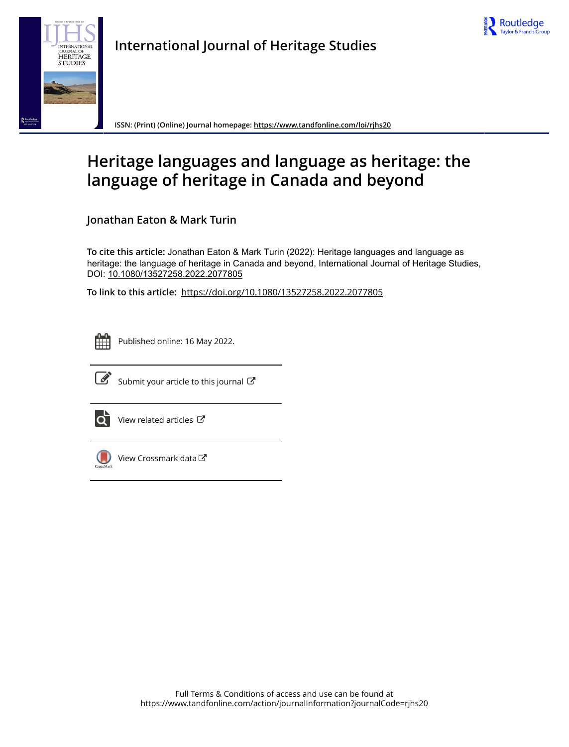



**International Journal of Heritage Studies**

**ISSN: (Print) (Online) Journal homepage:<https://www.tandfonline.com/loi/rjhs20>**

# **Heritage languages and language as heritage: the language of heritage in Canada and beyond**

**Jonathan Eaton & Mark Turin**

**To cite this article:** Jonathan Eaton & Mark Turin (2022): Heritage languages and language as heritage: the language of heritage in Canada and beyond, International Journal of Heritage Studies, DOI: [10.1080/13527258.2022.2077805](https://www.tandfonline.com/action/showCitFormats?doi=10.1080/13527258.2022.2077805)

**To link to this article:** <https://doi.org/10.1080/13527258.2022.2077805>



Published online: 16 May 2022.



 $\overrightarrow{S}$  [Submit your article to this journal](https://www.tandfonline.com/action/authorSubmission?journalCode=rjhs20&show=instructions)  $\overrightarrow{S}$ 



[View related articles](https://www.tandfonline.com/doi/mlt/10.1080/13527258.2022.2077805)  $\mathbb{Z}$ 



[View Crossmark data](http://crossmark.crossref.org/dialog/?doi=10.1080/13527258.2022.2077805&domain=pdf&date_stamp=2022-05-16)<sup>C</sup>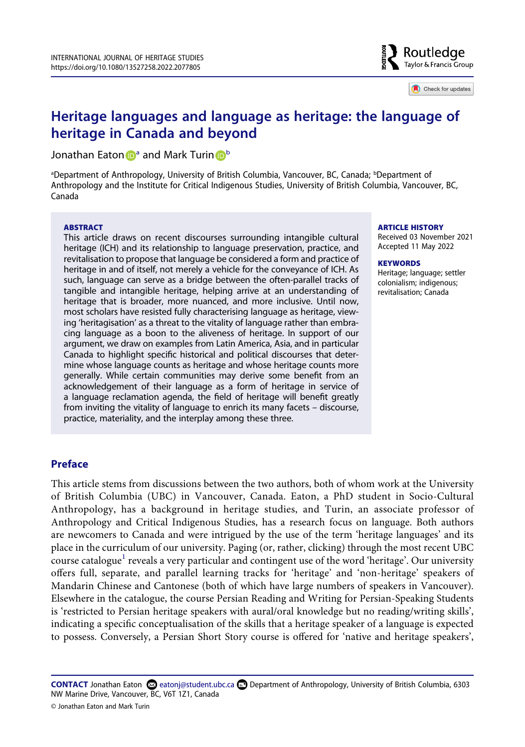

Check for updates

# **Heritage languages and language as heritage: the language of heritage in Canada and beyond**

Jon[a](#page-1-0)tha[n](http://orcid.org/0000-0002-2262-0986) Eaton **D**<sup>a</sup> and Mark Turin **D**<sup>[b](#page-1-0)</sup>

<span id="page-1-0"></span><sup>a</sup>Department of Anthropology, University of British Columbia, Vancouver, BC, Canada; <sup>b</sup>Department of Anthropology and the Institute for Critical Indigenous Studies, University of British Columbia, Vancouver, BC, Canada

#### **ABSTRACT**

This article draws on recent discourses surrounding intangible cultural heritage (ICH) and its relationship to language preservation, practice, and revitalisation to propose that language be considered a form and practice of heritage in and of itself, not merely a vehicle for the conveyance of ICH. As such, language can serve as a bridge between the often-parallel tracks of tangible and intangible heritage, helping arrive at an understanding of heritage that is broader, more nuanced, and more inclusive. Until now, most scholars have resisted fully characterising language as heritage, viewing 'heritagisation' as a threat to the vitality of language rather than embracing language as a boon to the aliveness of heritage. In support of our argument, we draw on examples from Latin America, Asia, and in particular Canada to highlight specific historical and political discourses that determine whose language counts as heritage and whose heritage counts more generally. While certain communities may derive some benefit from an acknowledgement of their language as a form of heritage in service of a language reclamation agenda, the field of heritage will benefit greatly from inviting the vitality of language to enrich its many facets – discourse, practice, materiality, and the interplay among these three.

#### **ARTICLE HISTORY**

Received 03 November 2021 Accepted 11 May 2022

#### **KEYWORDS**

Heritage; language; settler colonialism; indigenous; revitalisation; Canada

# **Preface**

This article stems from discussions between the two authors, both of whom work at the University of British Columbia (UBC) in Vancouver, Canada. Eaton, a PhD student in Socio-Cultural Anthropology, has a background in heritage studies, and Turin, an associate professor of Anthropology and Critical Indigenous Studies, has a research focus on language. Both authors are newcomers to Canada and were intrigued by the use of the term 'heritage languages' and its place in the curriculum of our university. Paging (or, rather, clicking) through the most recent UBC course catalogue<sup>[1](#page-12-0)</sup> reveals a very particular and contingent use of the word 'heritage'. Our university offers full, separate, and parallel learning tracks for 'heritage' and 'non-heritage' speakers of Mandarin Chinese and Cantonese (both of which have large numbers of speakers in Vancouver). Elsewhere in the catalogue, the course Persian Reading and Writing for Persian-Speaking Students is 'restricted to Persian heritage speakers with aural/oral knowledge but no reading/writing skills', indicating a specific conceptualisation of the skills that a heritage speaker of a language is expected to possess. Conversely, a Persian Short Story course is offered for 'native and heritage speakers',

**CONTACT** Jonathan Eaton **externights** detect ubc.ca Department of Anthropology, University of British Columbia, 6303 NW Marine Drive, Vancouver, BC, V6T 1Z1, Canada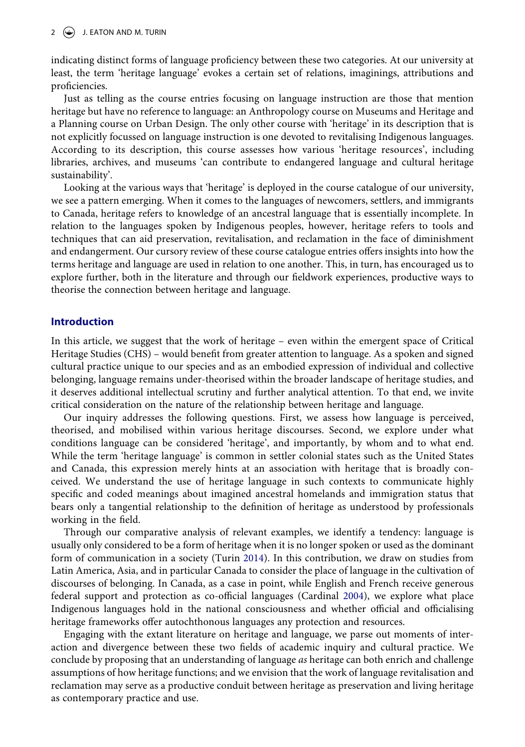indicating distinct forms of language proficiency between these two categories. At our university at least, the term 'heritage language' evokes a certain set of relations, imaginings, attributions and proficiencies.

Just as telling as the course entries focusing on language instruction are those that mention heritage but have no reference to language: an Anthropology course on Museums and Heritage and a Planning course on Urban Design. The only other course with 'heritage' in its description that is not explicitly focussed on language instruction is one devoted to revitalising Indigenous languages. According to its description, this course assesses how various 'heritage resources', including libraries, archives, and museums 'can contribute to endangered language and cultural heritage sustainability'.

Looking at the various ways that 'heritage' is deployed in the course catalogue of our university, we see a pattern emerging. When it comes to the languages of newcomers, settlers, and immigrants to Canada, heritage refers to knowledge of an ancestral language that is essentially incomplete. In relation to the languages spoken by Indigenous peoples, however, heritage refers to tools and techniques that can aid preservation, revitalisation, and reclamation in the face of diminishment and endangerment. Our cursory review of these course catalogue entries offers insights into how the terms heritage and language are used in relation to one another. This, in turn, has encouraged us to explore further, both in the literature and through our fieldwork experiences, productive ways to theorise the connection between heritage and language.

# **Introduction**

In this article, we suggest that the work of heritage – even within the emergent space of Critical Heritage Studies (CHS) – would benefit from greater attention to language. As a spoken and signed cultural practice unique to our species and as an embodied expression of individual and collective belonging, language remains under-theorised within the broader landscape of heritage studies, and it deserves additional intellectual scrutiny and further analytical attention. To that end, we invite critical consideration on the nature of the relationship between heritage and language.

Our inquiry addresses the following questions. First, we assess how language is perceived, theorised, and mobilised within various heritage discourses. Second, we explore under what conditions language can be considered 'heritage', and importantly, by whom and to what end. While the term 'heritage language' is common in settler colonial states such as the United States and Canada, this expression merely hints at an association with heritage that is broadly conceived. We understand the use of heritage language in such contexts to communicate highly specific and coded meanings about imagined ancestral homelands and immigration status that bears only a tangential relationship to the definition of heritage as understood by professionals working in the field.

<span id="page-2-1"></span>Through our comparative analysis of relevant examples, we identify a tendency: language is usually only considered to be a form of heritage when it is no longer spoken or used as the dominant form of communication in a society (Turin [2014](#page-16-0)). In this contribution, we draw on studies from Latin America, Asia, and in particular Canada to consider the place of language in the cultivation of discourses of belonging. In Canada, as a case in point, while English and French receive generous federal support and protection as co-official languages (Cardinal [2004\)](#page-14-0), we explore what place Indigenous languages hold in the national consciousness and whether official and officialising heritage frameworks offer autochthonous languages any protection and resources.

<span id="page-2-0"></span>Engaging with the extant literature on heritage and language, we parse out moments of interaction and divergence between these two fields of academic inquiry and cultural practice. We conclude by proposing that an understanding of language *as* heritage can both enrich and challenge assumptions of how heritage functions; and we envision that the work of language revitalisation and reclamation may serve as a productive conduit between heritage as preservation and living heritage as contemporary practice and use.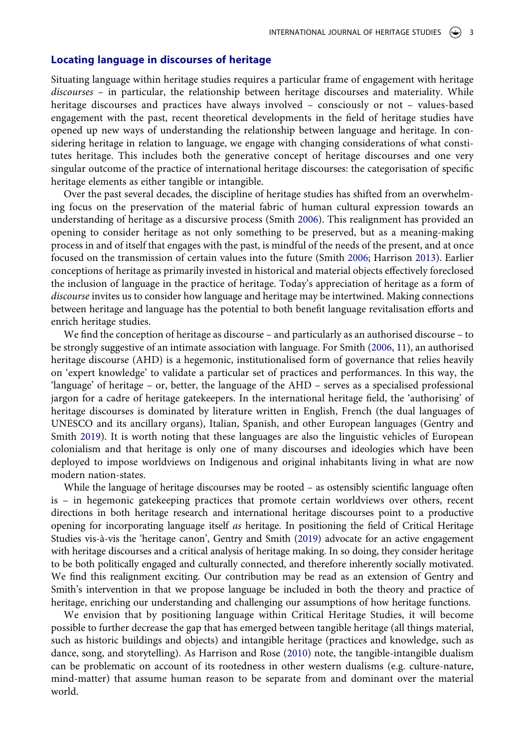#### **Locating language in discourses of heritage**

Situating language within heritage studies requires a particular frame of engagement with heritage *discourses* – in particular, the relationship between heritage discourses and materiality. While heritage discourses and practices have always involved – consciously or not – values-based engagement with the past, recent theoretical developments in the field of heritage studies have opened up new ways of understanding the relationship between language and heritage. In considering heritage in relation to language, we engage with changing considerations of what constitutes heritage. This includes both the generative concept of heritage discourses and one very singular outcome of the practice of international heritage discourses: the categorisation of specific heritage elements as either tangible or intangible.

<span id="page-3-2"></span>Over the past several decades, the discipline of heritage studies has shifted from an overwhelming focus on the preservation of the material fabric of human cultural expression towards an understanding of heritage as a discursive process (Smith [2006](#page-15-0)). This realignment has provided an opening to consider heritage as not only something to be preserved, but as a meaning-making process in and of itself that engages with the past, is mindful of the needs of the present, and at once focused on the transmission of certain values into the future (Smith [2006](#page-15-0); Harrison [2013\)](#page-15-1). Earlier conceptions of heritage as primarily invested in historical and material objects effectively foreclosed the inclusion of language in the practice of heritage. Today's appreciation of heritage as a form of *discourse* invites us to consider how language and heritage may be intertwined. Making connections between heritage and language has the potential to both benefit language revitalisation efforts and enrich heritage studies.

<span id="page-3-3"></span>We find the conception of heritage as discourse – and particularly as an authorised discourse – to be strongly suggestive of an intimate association with language. For Smith [\(2006](#page-15-0), 11), an authorised heritage discourse (AHD) is a hegemonic, institutionalised form of governance that relies heavily on 'expert knowledge' to validate a particular set of practices and performances. In this way, the 'language' of heritage – or, better, the language of the AHD – serves as a specialised professional jargon for a cadre of heritage gatekeepers. In the international heritage field, the 'authorising' of heritage discourses is dominated by literature written in English, French (the dual languages of UNESCO and its ancillary organs), Italian, Spanish, and other European languages (Gentry and Smith [2019\)](#page-15-2). It is worth noting that these languages are also the linguistic vehicles of European colonialism and that heritage is only one of many discourses and ideologies which have been deployed to impose worldviews on Indigenous and original inhabitants living in what are now modern nation-states.

<span id="page-3-0"></span>While the language of heritage discourses may be rooted – as ostensibly scientific language often is – in hegemonic gatekeeping practices that promote certain worldviews over others, recent directions in both heritage research and international heritage discourses point to a productive opening for incorporating language itself *as* heritage. In positioning the field of Critical Heritage Studies vis-à-vis the 'heritage canon', Gentry and Smith [\(2019\)](#page-15-2) advocate for an active engagement with heritage discourses and a critical analysis of heritage making. In so doing, they consider heritage to be both politically engaged and culturally connected, and therefore inherently socially motivated. We find this realignment exciting. Our contribution may be read as an extension of Gentry and Smith's intervention in that we propose language be included in both the theory and practice of heritage, enriching our understanding and challenging our assumptions of how heritage functions.

<span id="page-3-1"></span>We envision that by positioning language within Critical Heritage Studies, it will become possible to further decrease the gap that has emerged between tangible heritage (all things material, such as historic buildings and objects) and intangible heritage (practices and knowledge, such as dance, song, and storytelling). As Harrison and Rose ([2010](#page-15-3)) note, the tangible-intangible dualism can be problematic on account of its rootedness in other western dualisms (e.g. culture-nature, mind-matter) that assume human reason to be separate from and dominant over the material world.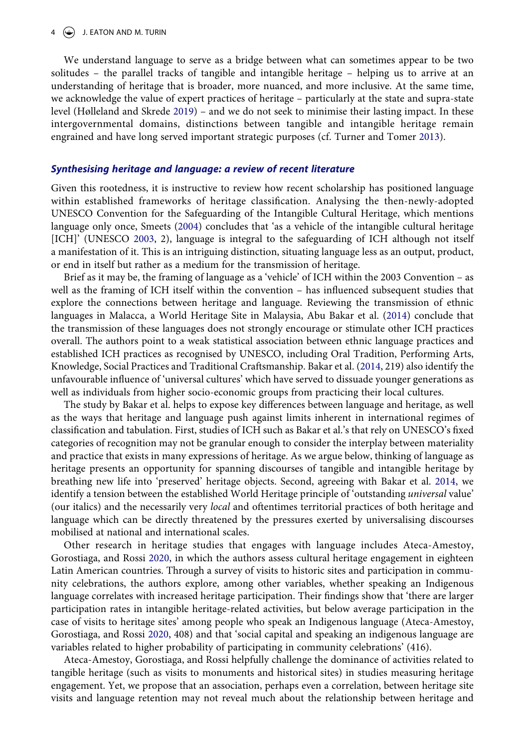#### $4 \quad (*)$  J. EATON AND M. TURIN

<span id="page-4-2"></span>We understand language to serve as a bridge between what can sometimes appear to be two solitudes – the parallel tracks of tangible and intangible heritage – helping us to arrive at an understanding of heritage that is broader, more nuanced, and more inclusive. At the same time, we acknowledge the value of expert practices of heritage – particularly at the state and supra-state level (Hølleland and Skrede [2019](#page-15-4)) – and we do not seek to minimise their lasting impact. In these intergovernmental domains, distinctions between tangible and intangible heritage remain engrained and have long served important strategic purposes (cf. Turner and Tomer [2013](#page-16-1)).

#### <span id="page-4-4"></span>*Synthesising heritage and language: a review of recent literature*

<span id="page-4-3"></span>Given this rootedness, it is instructive to review how recent scholarship has positioned language within established frameworks of heritage classification. Analysing the then-newly-adopted UNESCO Convention for the Safeguarding of the Intangible Cultural Heritage, which mentions language only once, Smeets [\(2004](#page-15-5)) concludes that 'as a vehicle of the intangible cultural heritage [ICH]' (UNESCO [2003,](#page-16-2) 2), language is integral to the safeguarding of ICH although not itself a manifestation of it. This is an intriguing distinction, situating language less as an output, product, or end in itself but rather as a medium for the transmission of heritage.

<span id="page-4-5"></span>Brief as it may be, the framing of language as a 'vehicle' of ICH within the 2003 Convention – as well as the framing of ICH itself within the convention – has influenced subsequent studies that explore the connections between heritage and language. Reviewing the transmission of ethnic languages in Malacca, a World Heritage Site in Malaysia, Abu Bakar et al. [\(2014\)](#page-14-1) conclude that the transmission of these languages does not strongly encourage or stimulate other ICH practices overall. The authors point to a weak statistical association between ethnic language practices and established ICH practices as recognised by UNESCO, including Oral Tradition, Performing Arts, Knowledge, Social Practices and Traditional Craftsmanship. Bakar et al. ([2014,](#page-14-1) 219) also identify the unfavourable influence of 'universal cultures' which have served to dissuade younger generations as well as individuals from higher socio-economic groups from practicing their local cultures.

The study by Bakar et al. helps to expose key differences between language and heritage, as well as the ways that heritage and language push against limits inherent in international regimes of classification and tabulation. First, studies of ICH such as Bakar et al.'s that rely on UNESCO's fixed categories of recognition may not be granular enough to consider the interplay between materiality and practice that exists in many expressions of heritage. As we argue below, thinking of language as heritage presents an opportunity for spanning discourses of tangible and intangible heritage by breathing new life into 'preserved' heritage objects. Second, agreeing with Bakar et al. [2014](#page-14-1), we identify a tension between the established World Heritage principle of 'outstanding *universal* value' (our italics) and the necessarily very *local* and oftentimes territorial practices of both heritage and language which can be directly threatened by the pressures exerted by universalising discourses mobilised at national and international scales.

<span id="page-4-1"></span>Other research in heritage studies that engages with language includes Ateca-Amestoy, Gorostiaga, and Rossi [2020](#page-14-2), in which the authors assess cultural heritage engagement in eighteen Latin American countries. Through a survey of visits to historic sites and participation in community celebrations, the authors explore, among other variables, whether speaking an Indigenous language correlates with increased heritage participation. Their findings show that 'there are larger participation rates in intangible heritage-related activities, but below average participation in the case of visits to heritage sites' among people who speak an Indigenous language (Ateca-Amestoy, Gorostiaga, and Rossi [2020](#page-14-2), 408) and that 'social capital and speaking an indigenous language are variables related to higher probability of participating in community celebrations' (416).

<span id="page-4-0"></span>Ateca-Amestoy, Gorostiaga, and Rossi helpfully challenge the dominance of activities related to tangible heritage (such as visits to monuments and historical sites) in studies measuring heritage engagement. Yet, we propose that an association, perhaps even a correlation, between heritage site visits and language retention may not reveal much about the relationship between heritage and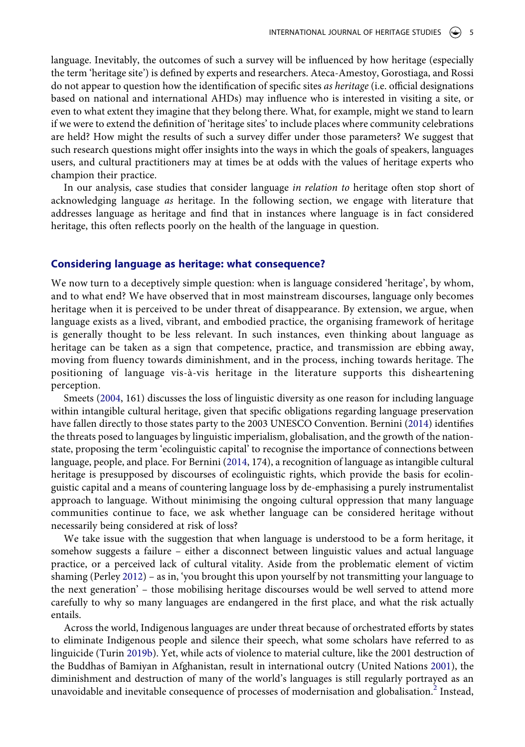language. Inevitably, the outcomes of such a survey will be influenced by how heritage (especially the term 'heritage site') is defined by experts and researchers. Ateca-Amestoy, Gorostiaga, and Rossi do not appear to question how the identification of specific sites *as heritage* (i.e. official designations based on national and international AHDs) may influence who is interested in visiting a site, or even to what extent they imagine that they belong there. What, for example, might we stand to learn if we were to extend the definition of 'heritage sites' to include places where community celebrations are held? How might the results of such a survey differ under those parameters? We suggest that such research questions might offer insights into the ways in which the goals of speakers, languages users, and cultural practitioners may at times be at odds with the values of heritage experts who champion their practice.

In our analysis, case studies that consider language *in relation to* heritage often stop short of acknowledging language *as* heritage. In the following section, we engage with literature that addresses language as heritage and find that in instances where language is in fact considered heritage, this often reflects poorly on the health of the language in question.

#### **Considering language as heritage: what consequence?**

We now turn to a deceptively simple question: when is language considered 'heritage', by whom, and to what end? We have observed that in most mainstream discourses, language only becomes heritage when it is perceived to be under threat of disappearance. By extension, we argue, when language exists as a lived, vibrant, and embodied practice, the organising framework of heritage is generally thought to be less relevant. In such instances, even thinking about language as heritage can be taken as a sign that competence, practice, and transmission are ebbing away, moving from fluency towards diminishment, and in the process, inching towards heritage. The positioning of language vis-à-vis heritage in the literature supports this disheartening perception.

<span id="page-5-0"></span>Smeets [\(2004](#page-15-5), 161) discusses the loss of linguistic diversity as one reason for including language within intangible cultural heritage, given that specific obligations regarding language preservation have fallen directly to those states party to the 2003 UNESCO Convention. Bernini ([2014\)](#page-14-3) identifies the threats posed to languages by linguistic imperialism, globalisation, and the growth of the nationstate, proposing the term 'ecolinguistic capital' to recognise the importance of connections between language, people, and place. For Bernini [\(2014](#page-14-3), 174), a recognition of language as intangible cultural heritage is presupposed by discourses of ecolinguistic rights, which provide the basis for ecolinguistic capital and a means of countering language loss by de-emphasising a purely instrumentalist approach to language. Without minimising the ongoing cultural oppression that many language communities continue to face, we ask whether language can be considered heritage without necessarily being considered at risk of loss?

<span id="page-5-1"></span>We take issue with the suggestion that when language is understood to be a form heritage, it somehow suggests a failure – either a disconnect between linguistic values and actual language practice, or a perceived lack of cultural vitality. Aside from the problematic element of victim shaming (Perley [2012](#page-15-6)) – as in, 'you brought this upon yourself by not transmitting your language to the next generation' – those mobilising heritage discourses would be well served to attend more carefully to why so many languages are endangered in the first place, and what the risk actually entails.

<span id="page-5-3"></span><span id="page-5-2"></span>Across the world, Indigenous languages are under threat because of orchestrated efforts by states to eliminate Indigenous people and silence their speech, what some scholars have referred to as linguicide (Turin [2019b](#page-16-3)). Yet, while acts of violence to material culture, like the 2001 destruction of the Buddhas of Bamiyan in Afghanistan, result in international outcry (United Nations [2001](#page-16-4)), the diminishment and destruction of many of the world's languages is still regularly portrayed as an unavoidable and inevitable consequence of processes of modernisation and globalisation.<sup>2</sup> Instead,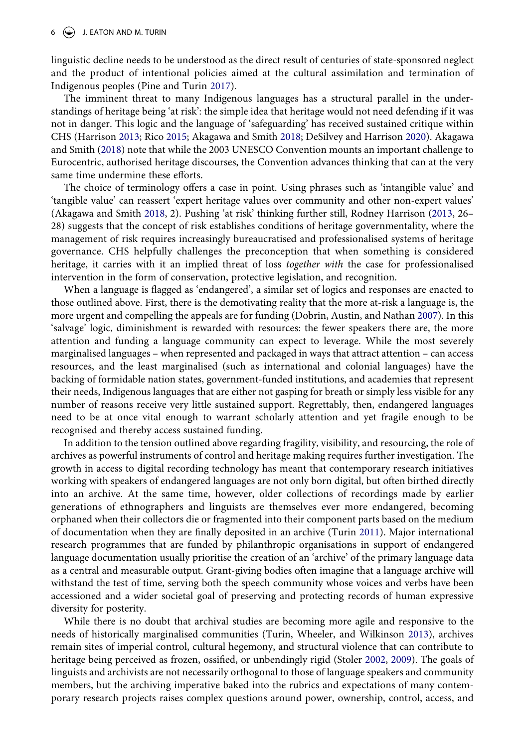#### $6 \quad (*)$  J. EATON AND M. TURIN

linguistic decline needs to be understood as the direct result of centuries of state-sponsored neglect and the product of intentional policies aimed at the cultural assimilation and termination of Indigenous peoples (Pine and Turin [2017\)](#page-15-7).

<span id="page-6-3"></span><span id="page-6-1"></span>The imminent threat to many Indigenous languages has a structural parallel in the understandings of heritage being 'at risk': the simple idea that heritage would not need defending if it was not in danger. This logic and the language of 'safeguarding' has received sustained critique within CHS (Harrison [2013;](#page-15-1) Rico [2015;](#page-15-8) Akagawa and Smith [2018;](#page-14-4) DeSilvey and Harrison [2020](#page-14-5)). Akagawa and Smith ([2018](#page-14-4)) note that while the 2003 UNESCO Convention mounts an important challenge to Eurocentric, authorised heritage discourses, the Convention advances thinking that can at the very same time undermine these efforts.

<span id="page-6-0"></span>The choice of terminology offers a case in point. Using phrases such as 'intangible value' and 'tangible value' can reassert 'expert heritage values over community and other non-expert values' (Akagawa and Smith [2018,](#page-14-4) 2). Pushing 'at risk' thinking further still, Rodney Harrison [\(2013](#page-15-1), 26– 28) suggests that the concept of risk establishes conditions of heritage governmentality, where the management of risk requires increasingly bureaucratised and professionalised systems of heritage governance. CHS helpfully challenges the preconception that when something is considered heritage, it carries with it an implied threat of loss *together with* the case for professionalised intervention in the form of conservation, protective legislation, and recognition.

<span id="page-6-2"></span>When a language is flagged as 'endangered', a similar set of logics and responses are enacted to those outlined above. First, there is the demotivating reality that the more at-risk a language is, the more urgent and compelling the appeals are for funding (Dobrin, Austin, and Nathan [2007](#page-14-6)). In this 'salvage' logic, diminishment is rewarded with resources: the fewer speakers there are, the more attention and funding a language community can expect to leverage. While the most severely marginalised languages – when represented and packaged in ways that attract attention – can access resources, and the least marginalised (such as international and colonial languages) have the backing of formidable nation states, government-funded institutions, and academies that represent their needs, Indigenous languages that are either not gasping for breath or simply less visible for any number of reasons receive very little sustained support. Regrettably, then, endangered languages need to be at once vital enough to warrant scholarly attention and yet fragile enough to be recognised and thereby access sustained funding.

<span id="page-6-5"></span>In addition to the tension outlined above regarding fragility, visibility, and resourcing, the role of archives as powerful instruments of control and heritage making requires further investigation. The growth in access to digital recording technology has meant that contemporary research initiatives working with speakers of endangered languages are not only born digital, but often birthed directly into an archive. At the same time, however, older collections of recordings made by earlier generations of ethnographers and linguists are themselves ever more endangered, becoming orphaned when their collectors die or fragmented into their component parts based on the medium of documentation when they are finally deposited in an archive (Turin [2011\)](#page-16-5). Major international research programmes that are funded by philanthropic organisations in support of endangered language documentation usually prioritise the creation of an 'archive' of the primary language data as a central and measurable output. Grant-giving bodies often imagine that a language archive will withstand the test of time, serving both the speech community whose voices and verbs have been accessioned and a wider societal goal of preserving and protecting records of human expressive diversity for posterity.

<span id="page-6-6"></span><span id="page-6-4"></span>While there is no doubt that archival studies are becoming more agile and responsive to the needs of historically marginalised communities (Turin, Wheeler, and Wilkinson [2013\)](#page-16-6), archives remain sites of imperial control, cultural hegemony, and structural violence that can contribute to heritage being perceived as frozen, ossified, or unbendingly rigid (Stoler [2002](#page-16-7), [2009\)](#page-16-8). The goals of linguists and archivists are not necessarily orthogonal to those of language speakers and community members, but the archiving imperative baked into the rubrics and expectations of many contemporary research projects raises complex questions around power, ownership, control, access, and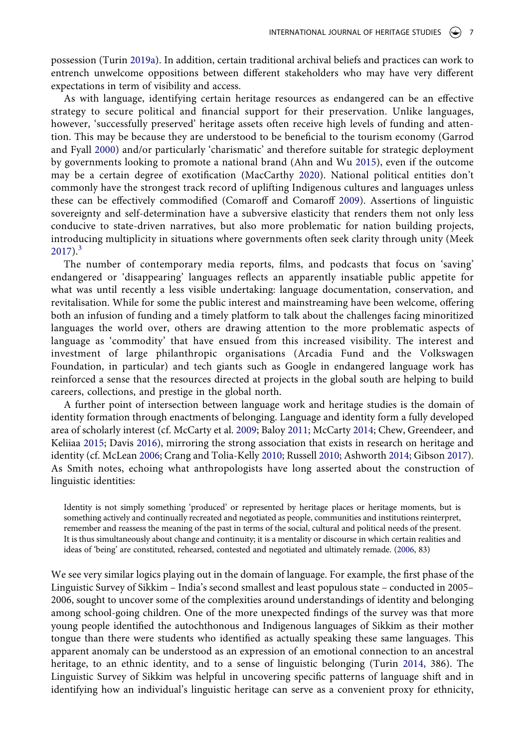<span id="page-7-8"></span>possession (Turin [2019a\)](#page-16-9). In addition, certain traditional archival beliefs and practices can work to entrench unwelcome oppositions between different stakeholders who may have very different expectations in term of visibility and access.

<span id="page-7-6"></span><span id="page-7-5"></span><span id="page-7-0"></span>As with language, identifying certain heritage resources as endangered can be an effective strategy to secure political and financial support for their preservation. Unlike languages, however, 'successfully preserved' heritage assets often receive high levels of funding and attention. This may be because they are understood to be beneficial to the tourism economy (Garrod and Fyall [2000\)](#page-15-9) and/or particularly 'charismatic' and therefore suitable for strategic deployment by governments looking to promote a national brand (Ahn and Wu [2015\)](#page-14-7), even if the outcome may be a certain degree of exotification (MacCarthy [2020](#page-15-10)). National political entities don't commonly have the strongest track record of uplifting Indigenous cultures and languages unless these can be effectively commodified (Comaroff and Comaroff [2009](#page-14-8)). Assertions of linguistic sovereignty and self-determination have a subversive elasticity that renders them not only less conducive to state-driven narratives, but also more problematic for nation building projects, introducing multiplicity in situations where governments often seek clarity through unity (Meek  $2017$ ).<sup>[3](#page-13-1)</sup>

<span id="page-7-7"></span><span id="page-7-4"></span>The number of contemporary media reports, films, and podcasts that focus on 'saving' endangered or 'disappearing' languages reflects an apparently insatiable public appetite for what was until recently a less visible undertaking: language documentation, conservation, and revitalisation. While for some the public interest and mainstreaming have been welcome, offering both an infusion of funding and a timely platform to talk about the challenges facing minoritized languages the world over, others are drawing attention to the more problematic aspects of language as 'commodity' that have ensued from this increased visibility. The interest and investment of large philanthropic organisations (Arcadia Fund and the Volkswagen Foundation, in particular) and tech giants such as Google in endangered language work has reinforced a sense that the resources directed at projects in the global south are helping to build careers, collections, and prestige in the global north.

<span id="page-7-3"></span><span id="page-7-2"></span><span id="page-7-1"></span>A further point of intersection between language work and heritage studies is the domain of identity formation through enactments of belonging. Language and identity form a fully developed area of scholarly interest (cf. McCarty et al. [2009](#page-15-12); Baloy [2011;](#page-14-9) McCarty [2014](#page-15-13); Chew, Greendeer, and Keliiaa [2015;](#page-14-10) Davis [2016\)](#page-14-11), mirroring the strong association that exists in research on heritage and identity (cf. McLean [2006](#page-15-14); Crang and Tolia-Kelly [2010](#page-14-12); Russell [2010;](#page-15-15) Ashworth [2014;](#page-14-13) Gibson [2017](#page-15-16)). As Smith notes, echoing what anthropologists have long asserted about the construction of linguistic identities:

Identity is not simply something 'produced' or represented by heritage places or heritage moments, but is something actively and continually recreated and negotiated as people, communities and institutions reinterpret, remember and reassess the meaning of the past in terms of the social, cultural and political needs of the present. It is thus simultaneously about change and continuity; it is a mentality or discourse in which certain realities and ideas of 'being' are constituted, rehearsed, contested and negotiated and ultimately remade. [\(2006](#page-15-0), 83)

We see very similar logics playing out in the domain of language. For example, the first phase of the Linguistic Survey of Sikkim – India's second smallest and least populous state – conducted in 2005– 2006, sought to uncover some of the complexities around understandings of identity and belonging among school-going children. One of the more unexpected findings of the survey was that more young people identified the autochthonous and Indigenous languages of Sikkim as their mother tongue than there were students who identified as actually speaking these same languages. This apparent anomaly can be understood as an expression of an emotional connection to an ancestral heritage, to an ethnic identity, and to a sense of linguistic belonging (Turin [2014](#page-16-0), 386). The Linguistic Survey of Sikkim was helpful in uncovering specific patterns of language shift and in identifying how an individual's linguistic heritage can serve as a convenient proxy for ethnicity,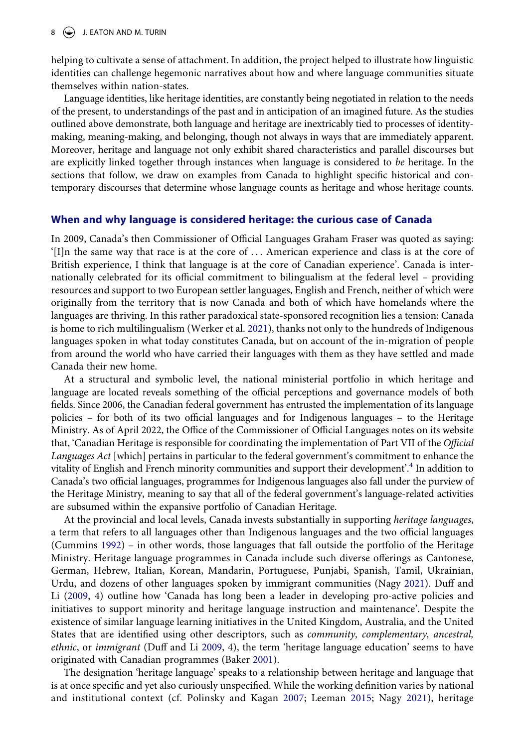helping to cultivate a sense of attachment. In addition, the project helped to illustrate how linguistic identities can challenge hegemonic narratives about how and where language communities situate themselves within nation-states.

Language identities, like heritage identities, are constantly being negotiated in relation to the needs of the present, to understandings of the past and in anticipation of an imagined future. As the studies outlined above demonstrate, both language and heritage are inextricably tied to processes of identitymaking, meaning-making, and belonging, though not always in ways that are immediately apparent. Moreover, heritage and language not only exhibit shared characteristics and parallel discourses but are explicitly linked together through instances when language is considered to *be* heritage. In the sections that follow, we draw on examples from Canada to highlight specific historical and contemporary discourses that determine whose language counts as heritage and whose heritage counts.

#### **When and why language is considered heritage: the curious case of Canada**

In 2009, Canada's then Commissioner of Official Languages Graham Fraser was quoted as saying: '[I]n the same way that race is at the core of . . . American experience and class is at the core of British experience, I think that language is at the core of Canadian experience'. Canada is internationally celebrated for its official commitment to bilingualism at the federal level – providing resources and support to two European settler languages, English and French, neither of which were originally from the territory that is now Canada and both of which have homelands where the languages are thriving. In this rather paradoxical state-sponsored recognition lies a tension: Canada is home to rich multilingualism (Werker et al. [2021\)](#page-16-10), thanks not only to the hundreds of Indigenous languages spoken in what today constitutes Canada, but on account of the in-migration of people from around the world who have carried their languages with them as they have settled and made Canada their new home.

<span id="page-8-4"></span>At a structural and symbolic level, the national ministerial portfolio in which heritage and language are located reveals something of the official perceptions and governance models of both fields. Since 2006, the Canadian federal government has entrusted the implementation of its language policies – for both of its two official languages and for Indigenous languages – to the Heritage Ministry. As of April 2022, the Office of the Commissioner of Official Languages notes on its website that, 'Canadian Heritage is responsible for coordinating the implementation of Part VII of the *Official Languages Act* [which] pertains in particular to the federal government's commitment to enhance the vitality of English and French minority communities and support their development'.[4](#page-13-2) In addition to Canada's two official languages, programmes for Indigenous languages also fall under the purview of the Heritage Ministry, meaning to say that all of the federal government's language-related activities are subsumed within the expansive portfolio of Canadian Heritage.

<span id="page-8-1"></span>At the provincial and local levels, Canada invests substantially in supporting *heritage languages*, a term that refers to all languages other than Indigenous languages and the two official languages (Cummins [1992\)](#page-14-14) – in other words, those languages that fall outside the portfolio of the Heritage Ministry. Heritage language programmes in Canada include such diverse offerings as Cantonese, German, Hebrew, Italian, Korean, Mandarin, Portuguese, Punjabi, Spanish, Tamil, Ukrainian, Urdu, and dozens of other languages spoken by immigrant communities (Nagy [2021](#page-15-17)). Duff and Li [\(2009,](#page-14-15) 4) outline how 'Canada has long been a leader in developing pro-active policies and initiatives to support minority and heritage language instruction and maintenance'. Despite the existence of similar language learning initiatives in the United Kingdom, Australia, and the United States that are identified using other descriptors, such as *community, complementary, ancestral, ethnic*, or *immigrant* (Duff and Li [2009,](#page-14-15) 4), the term 'heritage language education' seems to have originated with Canadian programmes (Baker [2001\)](#page-14-16).

<span id="page-8-3"></span><span id="page-8-2"></span><span id="page-8-0"></span>The designation 'heritage language' speaks to a relationship between heritage and language that is at once specific and yet also curiously unspecified. While the working definition varies by national and institutional context (cf. Polinsky and Kagan [2007;](#page-15-18) Leeman [2015](#page-15-19); Nagy [2021\)](#page-15-17), heritage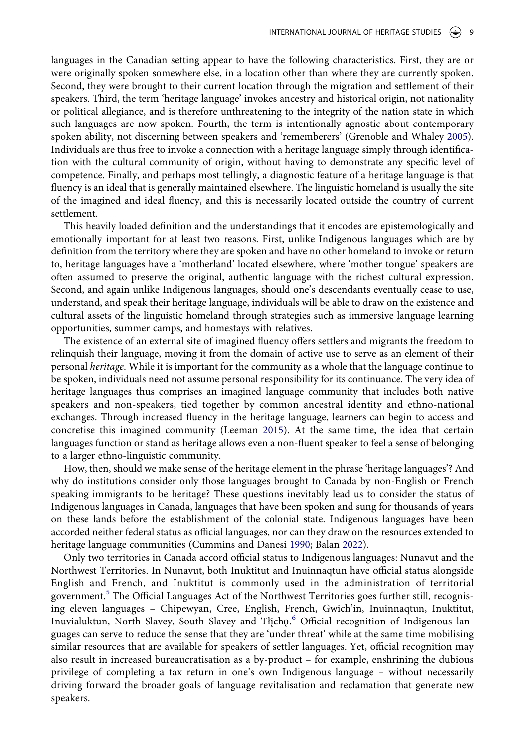<span id="page-9-1"></span>languages in the Canadian setting appear to have the following characteristics. First, they are or were originally spoken somewhere else, in a location other than where they are currently spoken. Second, they were brought to their current location through the migration and settlement of their speakers. Third, the term 'heritage language' invokes ancestry and historical origin, not nationality or political allegiance, and is therefore unthreatening to the integrity of the nation state in which such languages are now spoken. Fourth, the term is intentionally agnostic about contemporary spoken ability, not discerning between speakers and 'rememberers' (Grenoble and Whaley [2005](#page-15-20)). Individuals are thus free to invoke a connection with a heritage language simply through identification with the cultural community of origin, without having to demonstrate any specific level of competence. Finally, and perhaps most tellingly, a diagnostic feature of a heritage language is that fluency is an ideal that is generally maintained elsewhere. The linguistic homeland is usually the site of the imagined and ideal fluency, and this is necessarily located outside the country of current settlement.

This heavily loaded definition and the understandings that it encodes are epistemologically and emotionally important for at least two reasons. First, unlike Indigenous languages which are by definition from the territory where they are spoken and have no other homeland to invoke or return to, heritage languages have a 'motherland' located elsewhere, where 'mother tongue' speakers are often assumed to preserve the original, authentic language with the richest cultural expression. Second, and again unlike Indigenous languages, should one's descendants eventually cease to use, understand, and speak their heritage language, individuals will be able to draw on the existence and cultural assets of the linguistic homeland through strategies such as immersive language learning opportunities, summer camps, and homestays with relatives.

The existence of an external site of imagined fluency offers settlers and migrants the freedom to relinquish their language, moving it from the domain of active use to serve as an element of their personal *heritage*. While it is important for the community as a whole that the language continue to be spoken, individuals need not assume personal responsibility for its continuance. The very idea of heritage languages thus comprises an imagined language community that includes both native speakers and non-speakers, tied together by common ancestral identity and ethno-national exchanges. Through increased fluency in the heritage language, learners can begin to access and concretise this imagined community (Leeman [2015](#page-15-19)). At the same time, the idea that certain languages function or stand as heritage allows even a non-fluent speaker to feel a sense of belonging to a larger ethno-linguistic community.

How, then, should we make sense of the heritage element in the phrase 'heritage languages'? And why do institutions consider only those languages brought to Canada by non-English or French speaking immigrants to be heritage? These questions inevitably lead us to consider the status of Indigenous languages in Canada, languages that have been spoken and sung for thousands of years on these lands before the establishment of the colonial state. Indigenous languages have been accorded neither federal status as official languages, nor can they draw on the resources extended to heritage language communities (Cummins and Danesi [1990](#page-14-17); Balan [2022](#page-14-18)).

<span id="page-9-0"></span>Only two territories in Canada accord official status to Indigenous languages: Nunavut and the Northwest Territories. In Nunavut, both Inuktitut and Inuinnaqtun have official status alongside English and French, and Inuktitut is commonly used in the administration of territorial government.<sup>5</sup> The Official Languages Act of the Northwest Territories goes further still, recognising eleven languages – Chipewyan, Cree, English, French, Gwich'in, Inuinnaqtun, Inuktitut, Inuvialuktun, North Slavey, South Slavey and Tłįchǫ. [6](#page-13-4) Official recognition of Indigenous languages can serve to reduce the sense that they are 'under threat' while at the same time mobilising similar resources that are available for speakers of settler languages. Yet, official recognition may also result in increased bureaucratisation as a by-product – for example, enshrining the dubious privilege of completing a tax return in one's own Indigenous language – without necessarily driving forward the broader goals of language revitalisation and reclamation that generate new speakers.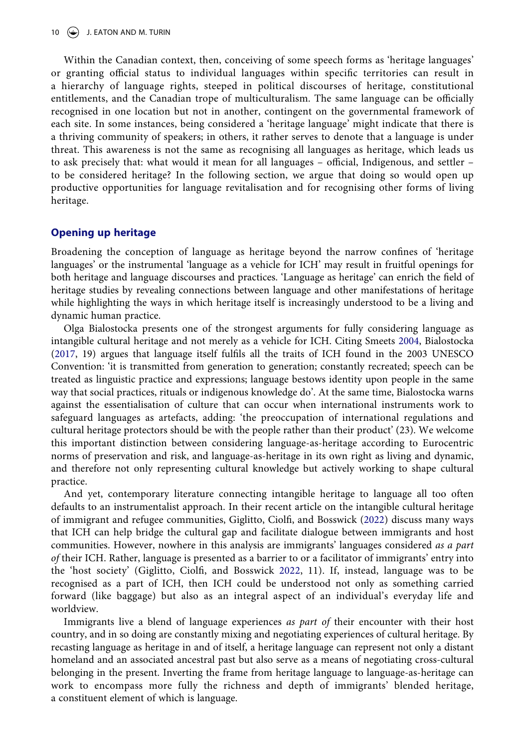Within the Canadian context, then, conceiving of some speech forms as 'heritage languages' or granting official status to individual languages within specific territories can result in a hierarchy of language rights, steeped in political discourses of heritage, constitutional entitlements, and the Canadian trope of multiculturalism. The same language can be officially recognised in one location but not in another, contingent on the governmental framework of each site. In some instances, being considered a 'heritage language' might indicate that there is a thriving community of speakers; in others, it rather serves to denote that a language is under threat. This awareness is not the same as recognising all languages as heritage, which leads us to ask precisely that: what would it mean for all languages – official, Indigenous, and settler – to be considered heritage? In the following section, we argue that doing so would open up productive opportunities for language revitalisation and for recognising other forms of living heritage.

# **Opening up heritage**

Broadening the conception of language as heritage beyond the narrow confines of 'heritage languages' or the instrumental 'language as a vehicle for ICH' may result in fruitful openings for both heritage and language discourses and practices. 'Language as heritage' can enrich the field of heritage studies by revealing connections between language and other manifestations of heritage while highlighting the ways in which heritage itself is increasingly understood to be a living and dynamic human practice.

<span id="page-10-0"></span>Olga Bialostocka presents one of the strongest arguments for fully considering language as intangible cultural heritage and not merely as a vehicle for ICH. Citing Smeets [2004,](#page-15-5) Bialostocka [\(2017,](#page-14-19) 19) argues that language itself fulfils all the traits of ICH found in the 2003 UNESCO Convention: 'it is transmitted from generation to generation; constantly recreated; speech can be treated as linguistic practice and expressions; language bestows identity upon people in the same way that social practices, rituals or indigenous knowledge do'. At the same time, Bialostocka warns against the essentialisation of culture that can occur when international instruments work to safeguard languages as artefacts, adding: 'the preoccupation of international regulations and cultural heritage protectors should be with the people rather than their product' (23). We welcome this important distinction between considering language-as-heritage according to Eurocentric norms of preservation and risk, and language-as-heritage in its own right as living and dynamic, and therefore not only representing cultural knowledge but actively working to shape cultural practice.

And yet, contemporary literature connecting intangible heritage to language all too often defaults to an instrumentalist approach. In their recent article on the intangible cultural heritage of immigrant and refugee communities, Giglitto, Ciolfi, and Bosswick ([2022](#page-15-21)) discuss many ways that ICH can help bridge the cultural gap and facilitate dialogue between immigrants and host communities. However, nowhere in this analysis are immigrants' languages considered *as a part of* their ICH. Rather, language is presented as a barrier to or a facilitator of immigrants' entry into the 'host society' (Giglitto, Ciolfi, and Bosswick [2022](#page-15-21), 11). If, instead, language was to be recognised as a part of ICH, then ICH could be understood not only as something carried forward (like baggage) but also as an integral aspect of an individual's everyday life and worldview.

<span id="page-10-1"></span>Immigrants live a blend of language experiences *as part of* their encounter with their host country, and in so doing are constantly mixing and negotiating experiences of cultural heritage. By recasting language as heritage in and of itself, a heritage language can represent not only a distant homeland and an associated ancestral past but also serve as a means of negotiating cross-cultural belonging in the present. Inverting the frame from heritage language to language-as-heritage can work to encompass more fully the richness and depth of immigrants' blended heritage, a constituent element of which is language.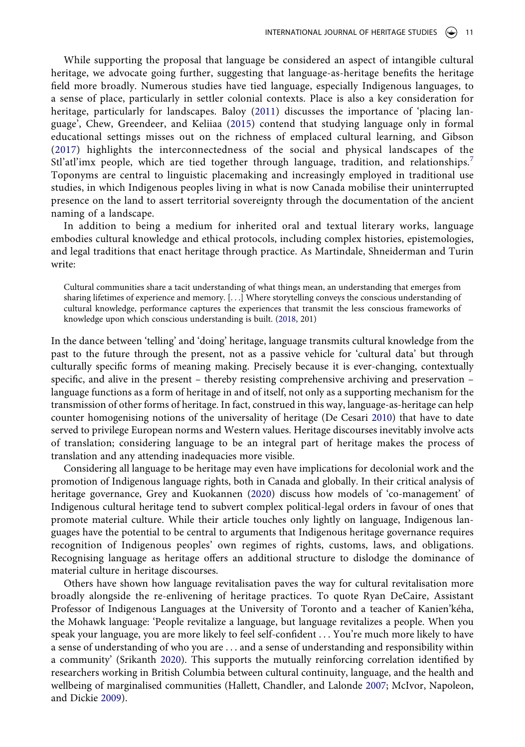While supporting the proposal that language be considered an aspect of intangible cultural heritage, we advocate going further, suggesting that language-as-heritage benefits the heritage field more broadly. Numerous studies have tied language, especially Indigenous languages, to a sense of place, particularly in settler colonial contexts. Place is also a key consideration for heritage, particularly for landscapes. Baloy ([2011](#page-14-9)) discusses the importance of 'placing language', Chew, Greendeer, and Keliiaa ([2015](#page-14-10)) contend that studying language only in formal educational settings misses out on the richness of emplaced cultural learning, and Gibson ([2017\)](#page-15-16) highlights the interconnectedness of the social and physical landscapes of the Stl'atl'imx people, which are tied together through language, tradition, and relationships.<sup>[7](#page-13-5)</sup> Toponyms are central to linguistic placemaking and increasingly employed in traditional use studies, in which Indigenous peoples living in what is now Canada mobilise their uninterrupted presence on the land to assert territorial sovereignty through the documentation of the ancient naming of a landscape.

In addition to being a medium for inherited oral and textual literary works, language embodies cultural knowledge and ethical protocols, including complex histories, epistemologies, and legal traditions that enact heritage through practice. As Martindale, Shneiderman and Turin write:

<span id="page-11-3"></span>Cultural communities share a tacit understanding of what things mean, an understanding that emerges from sharing lifetimes of experience and memory. [. . .] Where storytelling conveys the conscious understanding of cultural knowledge, performance captures the experiences that transmit the less conscious frameworks of knowledge upon which conscious understanding is built. ([2018](#page-15-22), 201)

In the dance between 'telling' and 'doing' heritage, language transmits cultural knowledge from the past to the future through the present, not as a passive vehicle for 'cultural data' but through culturally specific forms of meaning making. Precisely because it is ever-changing, contextually specific, and alive in the present – thereby resisting comprehensive archiving and preservation – language functions as a form of heritage in and of itself, not only as a supporting mechanism for the transmission of other forms of heritage. In fact, construed in this way, language-as-heritage can help counter homogenising notions of the universality of heritage (De Cesari [2010\)](#page-14-20) that have to date served to privilege European norms and Western values. Heritage discourses inevitably involve acts of translation; considering language to be an integral part of heritage makes the process of translation and any attending inadequacies more visible.

<span id="page-11-1"></span><span id="page-11-0"></span>Considering all language to be heritage may even have implications for decolonial work and the promotion of Indigenous language rights, both in Canada and globally. In their critical analysis of heritage governance, Grey and Kuokannen ([2020](#page-15-23)) discuss how models of 'co-management' of Indigenous cultural heritage tend to subvert complex political-legal orders in favour of ones that promote material culture. While their article touches only lightly on language, Indigenous languages have the potential to be central to arguments that Indigenous heritage governance requires recognition of Indigenous peoples' own regimes of rights, customs, laws, and obligations. Recognising language as heritage offers an additional structure to dislodge the dominance of material culture in heritage discourses.

<span id="page-11-5"></span><span id="page-11-4"></span><span id="page-11-2"></span>Others have shown how language revitalisation paves the way for cultural revitalisation more broadly alongside the re-enlivening of heritage practices. To quote Ryan DeCaire, Assistant Professor of Indigenous Languages at the University of Toronto and a teacher of Kanien'kéha, the Mohawk language: 'People revitalize a language, but language revitalizes a people. When you speak your language, you are more likely to feel self-confident . . . You're much more likely to have a sense of understanding of who you are . . . and a sense of understanding and responsibility within a community' (Srikanth [2020](#page-15-24)). This supports the mutually reinforcing correlation identified by researchers working in British Columbia between cultural continuity, language, and the health and wellbeing of marginalised communities (Hallett, Chandler, and Lalonde [2007;](#page-15-25) McIvor, Napoleon, and Dickie [2009](#page-15-26)).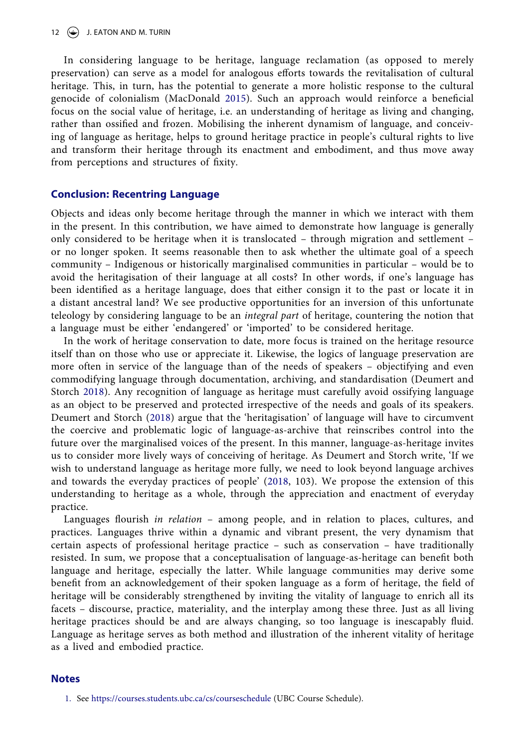<span id="page-12-2"></span>In considering language to be heritage, language reclamation (as opposed to merely preservation) can serve as a model for analogous efforts towards the revitalisation of cultural heritage. This, in turn, has the potential to generate a more holistic response to the cultural genocide of colonialism (MacDonald [2015](#page-15-27)). Such an approach would reinforce a beneficial focus on the social value of heritage, i.e. an understanding of heritage as living and changing, rather than ossified and frozen. Mobilising the inherent dynamism of language, and conceiving of language as heritage, helps to ground heritage practice in people's cultural rights to live and transform their heritage through its enactment and embodiment, and thus move away from perceptions and structures of fixity.

### **Conclusion: Recentring Language**

Objects and ideas only become heritage through the manner in which we interact with them in the present. In this contribution, we have aimed to demonstrate how language is generally only considered to be heritage when it is translocated – through migration and settlement – or no longer spoken. It seems reasonable then to ask whether the ultimate goal of a speech community – Indigenous or historically marginalised communities in particular – would be to avoid the heritagisation of their language at all costs? In other words, if one's language has been identified as a heritage language, does that either consign it to the past or locate it in a distant ancestral land? We see productive opportunities for an inversion of this unfortunate teleology by considering language to be an *integral part* of heritage, countering the notion that a language must be either 'endangered' or 'imported' to be considered heritage.

In the work of heritage conservation to date, more focus is trained on the heritage resource itself than on those who use or appreciate it. Likewise, the logics of language preservation are more often in service of the language than of the needs of speakers – objectifying and even commodifying language through documentation, archiving, and standardisation (Deumert and Storch [2018\)](#page-14-21). Any recognition of language as heritage must carefully avoid ossifying language as an object to be preserved and protected irrespective of the needs and goals of its speakers. Deumert and Storch ([2018](#page-14-21)) argue that the 'heritagisation' of language will have to circumvent the coercive and problematic logic of language-as-archive that reinscribes control into the future over the marginalised voices of the present. In this manner, language-as-heritage invites us to consider more lively ways of conceiving of heritage. As Deumert and Storch write, 'If we wish to understand language as heritage more fully, we need to look beyond language archives and towards the everyday practices of people' [\(2018](#page-14-21), 103). We propose the extension of this understanding to heritage as a whole, through the appreciation and enactment of everyday practice.

<span id="page-12-1"></span>Languages flourish *in relation* – among people, and in relation to places, cultures, and practices. Languages thrive within a dynamic and vibrant present, the very dynamism that certain aspects of professional heritage practice – such as conservation – have traditionally resisted. In sum, we propose that a conceptualisation of language-as-heritage can benefit both language and heritage, especially the latter. While language communities may derive some benefit from an acknowledgement of their spoken language as a form of heritage, the field of heritage will be considerably strengthened by inviting the vitality of language to enrich all its facets – discourse, practice, materiality, and the interplay among these three. Just as all living heritage practices should be and are always changing, so too language is inescapably fluid. Language as heritage serves as both method and illustration of the inherent vitality of heritage as a lived and embodied practice.

#### **Notes**

<span id="page-12-0"></span><sup>1.</sup> See <https://courses.students.ubc.ca/cs/courseschedule>(UBC Course Schedule).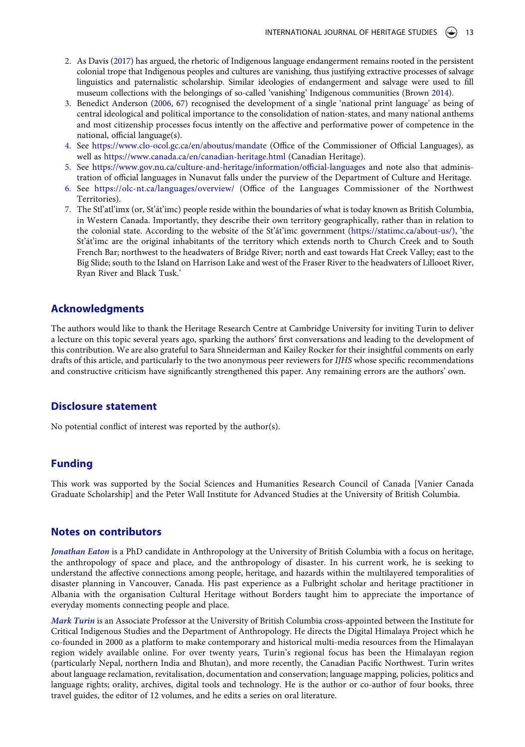- <span id="page-13-0"></span>2. As Davis ([2017\)](#page-14-22) has argued, the rhetoric of Indigenous language endangerment remains rooted in the persistent colonial trope that Indigenous peoples and cultures are vanishing, thus justifying extractive processes of salvage linguistics and paternalistic scholarship. Similar ideologies of endangerment and salvage were used to fill museum collections with the belongings of so-called 'vanishing' Indigenous communities (Brown [2014\)](#page-14-23).
- <span id="page-13-6"></span><span id="page-13-1"></span>3. Benedict Anderson ([2006,](#page-14-24) 67) recognised the development of a single 'national print language' as being of central ideological and political importance to the consolidation of nation-states, and many national anthems and most citizenship processes focus intently on the affective and performative power of competence in the national, official language(s).
- <span id="page-13-2"></span>4. See <https://www.clo-ocol.gc.ca/en/aboutus/mandate>(Office of the Commissioner of Official Languages), as well as <https://www.canada.ca/en/canadian-heritage.html>(Canadian Heritage).
- <span id="page-13-3"></span>5. See <https://www.gov.nu.ca/culture-and-heritage/information/official-languages>and note also that administration of official languages in Nunavut falls under the purview of the Department of Culture and Heritage.
- <span id="page-13-4"></span>6. See <https://olc-nt.ca/languages/overview/> (Office of the Languages Commissioner of the Northwest Territories).
- <span id="page-13-5"></span>7. The Stl'atl'imx (or, St'át'imc) people reside within the boundaries of what is today known as British Columbia, in Western Canada. Importantly, they describe their own territory geographically, rather than in relation to the colonial state. According to the website of the St'át'imc government [\(https://statimc.ca/about-us/\)](https://statimc.ca/about-us/), 'the St'át'imc are the original inhabitants of the territory which extends north to Church Creek and to South French Bar; northwest to the headwaters of Bridge River; north and east towards Hat Creek Valley; east to the Big Slide; south to the Island on Harrison Lake and west of the Fraser River to the headwaters of Lillooet River, Ryan River and Black Tusk.'

#### **Acknowledgments**

The authors would like to thank the Heritage Research Centre at Cambridge University for inviting Turin to deliver a lecture on this topic several years ago, sparking the authors' first conversations and leading to the development of this contribution. We are also grateful to Sara Shneiderman and Kailey Rocker for their insightful comments on early drafts of this article, and particularly to the two anonymous peer reviewers for *IJHS* whose specific recommendations and constructive criticism have significantly strengthened this paper. Any remaining errors are the authors' own.

#### **Disclosure statement**

No potential conflict of interest was reported by the author(s).

# **Funding**

This work was supported by the Social Sciences and Humanities Research Council of Canada [Vanier Canada Graduate Scholarship] and the Peter Wall Institute for Advanced Studies at the University of British Columbia.

#### **Notes on contributors**

*Jonathan Eaton* is a PhD candidate in Anthropology at the University of British Columbia with a focus on heritage, the anthropology of space and place, and the anthropology of disaster. In his current work, he is seeking to understand the affective connections among people, heritage, and hazards within the multilayered temporalities of disaster planning in Vancouver, Canada. His past experience as a Fulbright scholar and heritage practitioner in Albania with the organisation Cultural Heritage without Borders taught him to appreciate the importance of everyday moments connecting people and place.

*Mark Turin* is an Associate Professor at the University of British Columbia cross-appointed between the Institute for Critical Indigenous Studies and the Department of Anthropology. He directs the Digital Himalaya Project which he co-founded in 2000 as a platform to make contemporary and historical multi-media resources from the Himalayan region widely available online. For over twenty years, Turin's regional focus has been the Himalayan region (particularly Nepal, northern India and Bhutan), and more recently, the Canadian Pacific Northwest. Turin writes about language reclamation, revitalisation, documentation and conservation; language mapping, policies, politics and language rights; orality, archives, digital tools and technology. He is the author or co-author of four books, three travel guides, the editor of 12 volumes, and he edits a series on oral literature.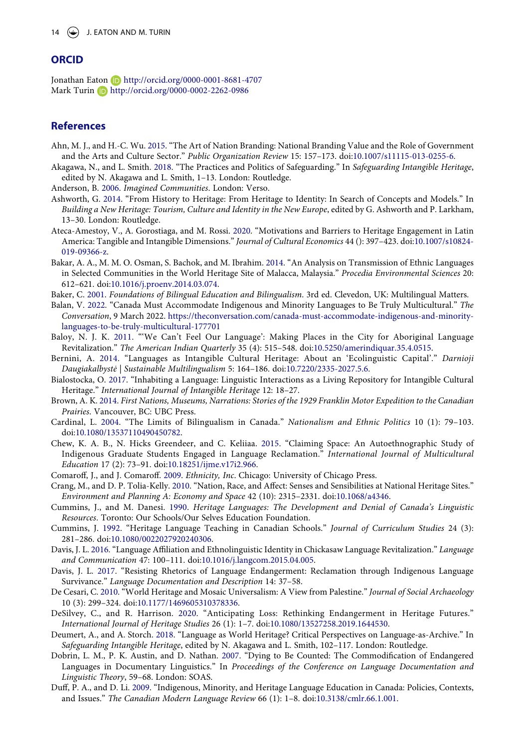# **ORCID**

Jonathan Eaton http://orcid.org/0000-0001-8681-4707 Mark Turin D http://orcid.org/0000-0002-2262-0986

# **References**

- <span id="page-14-7"></span>Ahn, M. J., and H.-C. Wu. [2015](#page-7-0). "The Art of Nation Branding: National Branding Value and the Role of Government and the Arts and Culture Sector." *Public Organization Review* 15: 157–173. doi:[10.1007/s11115-013-0255-6](https://doi.org/10.1007/s11115-013-0255-6).
- <span id="page-14-4"></span>Akagawa, N., and L. Smith. [2018](#page-6-0). "The Practices and Politics of Safeguarding." In *Safeguarding Intangible Heritage*, edited by N. Akagawa and L. Smith, 1–13. London: Routledge.
- <span id="page-14-24"></span>Anderson, B. [2006.](#page-13-1) *Imagined Communities*. London: Verso.
- <span id="page-14-13"></span>Ashworth, G. [2014](#page-7-1). "From History to Heritage: From Heritage to Identity: In Search of Concepts and Models." In *Building a New Heritage: Tourism, Culture and Identity in the New Europe*, edited by G. Ashworth and P. Larkham, 13–30. London: Routledge.
- <span id="page-14-2"></span>Ateca-Amestoy, V., A. Gorostiaga, and M. Rossi. [2020](#page-4-0). "Motivations and Barriers to Heritage Engagement in Latin America: Tangible and Intangible Dimensions." *Journal of Cultural Economics* 44 (): 397–423. doi:[10.1007/s10824-](https://doi.org/10.1007/s10824-019-09366-z) [019-09366-z](https://doi.org/10.1007/s10824-019-09366-z).
- <span id="page-14-1"></span>Bakar, A. A., M. M. O. Osman, S. Bachok, and M. Ibrahim. [2014](#page-4-1). "An Analysis on Transmission of Ethnic Languages in Selected Communities in the World Heritage Site of Malacca, Malaysia." *Procedia Environmental Sciences* 20: 612–621. doi:[10.1016/j.proenv.2014.03.074](https://doi.org/10.1016/j.proenv.2014.03.074).
- <span id="page-14-16"></span>Baker, C. [2001](#page-8-0). *Foundations of Bilingual Education and Bilingualism*. 3rd ed. Clevedon, UK: Multilingual Matters.
- <span id="page-14-18"></span>Balan, V. [2022.](#page-9-0) "Canada Must Accommodate Indigenous and Minority Languages to Be Truly Multicultural." *The Conversation*, 9 March 2022. [https://theconversation.com/canada-must-accommodate-indigenous-and-minority](https://theconversation.com/canada-must-accommodate-indigenous-and-minority-languages-to-be-truly-multicultural-177701)[languages-to-be-truly-multicultural-177701](https://theconversation.com/canada-must-accommodate-indigenous-and-minority-languages-to-be-truly-multicultural-177701)
- <span id="page-14-9"></span>Baloy, N. J. K. [2011.](#page-7-2) "'We Can't Feel Our Language': Making Places in the City for Aboriginal Language Revitalization." *The American Indian Quarterly* 35 (4): 515–548. doi:[10.5250/amerindiquar.35.4.0515](https://doi.org/10.5250/amerindiquar.35.4.0515).
- <span id="page-14-3"></span>Bernini, A. [2014.](#page-5-0) "Languages as Intangible Cultural Heritage: About an 'Ecolinguistic Capital'." *Darnioji Daugiakalbystė | Sustainable Multilingualism* 5: 164–186. doi:[10.7220/2335-2027.5.6.](https://doi.org/10.7220/2335-2027.5.6)
- <span id="page-14-19"></span>Bialostocka, O. [2017.](#page-10-0) "Inhabiting a Language: Linguistic Interactions as a Living Repository for Intangible Cultural Heritage." *International Journal of Intangible Heritage* 12: 18–27.
- <span id="page-14-23"></span>Brown, A. K. [2014.](#page-13-6) *First Nations, Museums, Narrations: Stories of the 1929 Franklin Motor Expedition to the Canadian Prairies*. Vancouver, BC: UBC Press.
- <span id="page-14-0"></span>Cardinal, L. [2004.](#page-2-0) "The Limits of Bilingualism in Canada." *Nationalism and Ethnic Politics* 10 (1): 79–103. doi:[10.1080/13537110490450782.](https://doi.org/10.1080/13537110490450782)
- <span id="page-14-10"></span>Chew, K. A. B., N. Hicks Greendeer, and C. Keliiaa. [2015](#page-7-3). "Claiming Space: An Autoethnographic Study of Indigenous Graduate Students Engaged in Language Reclamation." *International Journal of Multicultural Education* 17 (2): 73–91. doi:[10.18251/ijme.v17i2.966.](https://doi.org/10.18251/ijme.v17i2.966)
- <span id="page-14-8"></span>Comaroff, J., and J. Comaroff. [2009](#page-7-4). *Ethnicity, Inc*. Chicago: University of Chicago Press.
- <span id="page-14-12"></span>Crang, M., and D. P. Tolia-Kelly. [2010](#page-7-1). "Nation, Race, and Affect: Senses and Sensibilities at National Heritage Sites." *Environment and Planning A: Economy and Space* 42 (10): 2315–2331. doi:[10.1068/a4346](https://doi.org/10.1068/a4346).
- <span id="page-14-17"></span>Cummins, J., and M. Danesi. [1990.](#page-9-0) *Heritage Languages: The Development and Denial of Canada's Linguistic Resources*. Toronto: Our Schools/Our Selves Education Foundation.
- <span id="page-14-14"></span>Cummins, J. [1992.](#page-8-1) "Heritage Language Teaching in Canadian Schools." *Journal of Curriculum Studies* 24 (3): 281–286. doi:[10.1080/0022027920240306.](https://doi.org/10.1080/0022027920240306)
- <span id="page-14-11"></span>Davis, J. L. [2016.](#page-7-3) "Language Affiliation and Ethnolinguistic Identity in Chickasaw Language Revitalization." *Language and Communication* 47: 100–111. doi:[10.1016/j.langcom.2015.04.005.](https://doi.org/10.1016/j.langcom.2015.04.005)
- <span id="page-14-22"></span>Davis, J. L. [2017](#page-13-0). "Resisting Rhetorics of Language Endangerment: Reclamation through Indigenous Language Survivance." *Language Documentation and Description* 14: 37–58.
- <span id="page-14-20"></span>De Cesari, C. [2010.](#page-11-0) "World Heritage and Mosaic Universalism: A View from Palestine." *Journal of Social Archaeology*  10 (3): 299–324. doi:[10.1177/1469605310378336.](https://doi.org/10.1177/1469605310378336)
- <span id="page-14-5"></span>DeSilvey, C., and R. Harrison. [2020.](#page-6-1) "Anticipating Loss: Rethinking Endangerment in Heritage Futures." *International Journal of Heritage Studies* 26 (1): 1–7. doi:[10.1080/13527258.2019.1644530.](https://doi.org/10.1080/13527258.2019.1644530)
- <span id="page-14-21"></span>Deumert, A., and A. Storch. [2018.](#page-12-1) "Language as World Heritage? Critical Perspectives on Language-as-Archive." In *Safeguarding Intangible Heritage*, edited by N. Akagawa and L. Smith, 102–117. London: Routledge.
- <span id="page-14-6"></span>Dobrin, L. M., P. K. Austin, and D. Nathan. [2007.](#page-6-2) "Dying to Be Counted: The Commodification of Endangered Languages in Documentary Linguistics." In *Proceedings of the Conference on Language Documentation and Linguistic Theory*, 59–68. London: SOAS.
- <span id="page-14-15"></span>Duff, P. A., and D. Li. [2009.](#page-8-2) "Indigenous, Minority, and Heritage Language Education in Canada: Policies, Contexts, and Issues." *The Canadian Modern Language Review* 66 (1): 1–8. doi:[10.3138/cmlr.66.1.001.](https://doi.org/10.3138/cmlr.66.1.001)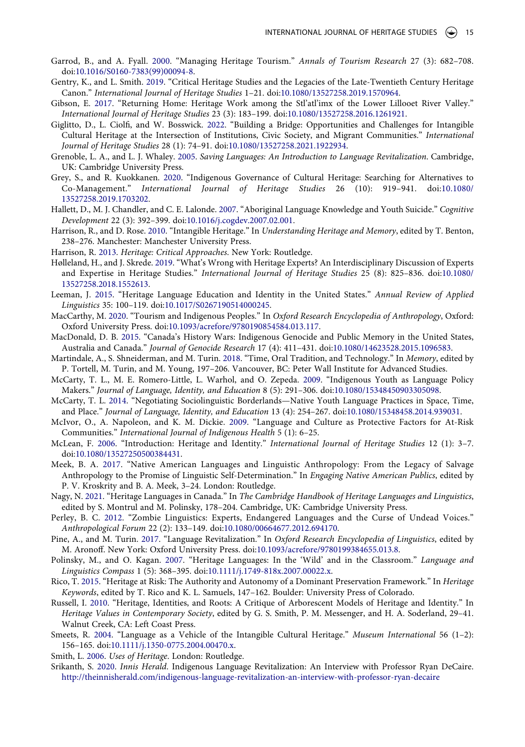- <span id="page-15-9"></span>Garrod, B., and A. Fyall. [2000.](#page-7-5) "Managing Heritage Tourism." *Annals of Tourism Research* 27 (3): 682–708. doi:[10.1016/S0160-7383\(99\)00094-8.](https://doi.org/10.1016/S0160-7383(99)00094-8)
- <span id="page-15-2"></span>Gentry, K., and L. Smith. [2019.](#page-3-0) "Critical Heritage Studies and the Legacies of the Late-Twentieth Century Heritage Canon." *International Journal of Heritage Studies* 1–21. doi:[10.1080/13527258.2019.1570964.](https://doi.org/10.1080/13527258.2019.1570964)
- <span id="page-15-16"></span>Gibson, E. [2017](#page-7-1). "Returning Home: Heritage Work among the Stl'atl'imx of the Lower Lillooet River Valley." *International Journal of Heritage Studies* 23 (3): 183–199. doi:[10.1080/13527258.2016.1261921.](https://doi.org/10.1080/13527258.2016.1261921)
- <span id="page-15-21"></span>Giglitto, D., L. Ciolfi, and W. Bosswick. [2022](#page-10-1). "Building a Bridge: Opportunities and Challenges for Intangible Cultural Heritage at the Intersection of Institutions, Civic Society, and Migrant Communities." *International Journal of Heritage Studies* 28 (1): 74–91. doi:[10.1080/13527258.2021.1922934](https://doi.org/10.1080/13527258.2021.1922934).
- <span id="page-15-20"></span>Grenoble, L. A., and L. J. Whaley. [2005.](#page-9-1) *Saving Languages: An Introduction to Language Revitalization*. Cambridge, UK: Cambridge University Press.
- <span id="page-15-23"></span>Grey, S., and R. Kuokkanen. [2020](#page-11-1). "Indigenous Governance of Cultural Heritage: Searching for Alternatives to Co-Management." *International Journal of Heritage Studies* 26 (10): 919–941. doi:[10.1080/](https://doi.org/10.1080/13527258.2019.1703202) [13527258.2019.1703202](https://doi.org/10.1080/13527258.2019.1703202).
- <span id="page-15-25"></span>Hallett, D., M. J. Chandler, and C. E. Lalonde. [2007](#page-11-2). "Aboriginal Language Knowledge and Youth Suicide." *Cognitive Development* 22 (3): 392–399. doi:[10.1016/j.cogdev.2007.02.001](https://doi.org/10.1016/j.cogdev.2007.02.001).
- <span id="page-15-3"></span>Harrison, R., and D. Rose. [2010](#page-3-1). "Intangible Heritage." In *Understanding Heritage and Memory*, edited by T. Benton, 238–276. Manchester: Manchester University Press.
- <span id="page-15-1"></span>Harrison, R. [2013](#page-3-2). *Heritage: Critical Approaches*. New York: Routledge.
- <span id="page-15-4"></span>Hølleland, H., and J. Skrede. [2019](#page-4-2). "What's Wrong with Heritage Experts? An Interdisciplinary Discussion of Experts and Expertise in Heritage Studies." *International Journal of Heritage Studies* 25 (8): 825–836. doi:[10.1080/](https://doi.org/10.1080/13527258.2018.1552613) [13527258.2018.1552613](https://doi.org/10.1080/13527258.2018.1552613).
- <span id="page-15-19"></span>Leeman, J. [2015.](#page-8-3) "Heritage Language Education and Identity in the United States." *Annual Review of Applied Linguistics* 35: 100–119. doi:[10.1017/S0267190514000245](https://doi.org/10.1017/S0267190514000245).
- <span id="page-15-10"></span>MacCarthy, M. [2020](#page-7-6). "Tourism and Indigenous Peoples." In *Oxford Research Encyclopedia of Anthropology*, Oxford: Oxford University Press. doi:[10.1093/acrefore/9780190854584.013.117.](https://doi.org/10.1093/acrefore/9780190854584.013.117)
- <span id="page-15-27"></span>MacDonald, D. B. [2015](#page-12-2). "Canada's History Wars: Indigenous Genocide and Public Memory in the United States, Australia and Canada." *Journal of Genocide Research* 17 (4): 411–431. doi:[10.1080/14623528.2015.1096583.](https://doi.org/10.1080/14623528.2015.1096583)
- <span id="page-15-22"></span>Martindale, A., S. Shneiderman, and M. Turin. [2018.](#page-11-3) "Time, Oral Tradition, and Technology." In *Memory*, edited by P. Tortell, M. Turin, and M. Young, 197–206. Vancouver, BC: Peter Wall Institute for Advanced Studies.
- <span id="page-15-12"></span>McCarty, T. L., M. E. Romero-Little, L. Warhol, and O. Zepeda. [2009](#page-7-2). "Indigenous Youth as Language Policy Makers." *Journal of Language, Identity, and Education* 8 (5): 291–306. doi:[10.1080/15348450903305098.](https://doi.org/10.1080/15348450903305098)
- <span id="page-15-13"></span>McCarty, T. L. [2014.](#page-7-2) "Negotiating Sociolinguistic Borderlands—Native Youth Language Practices in Space, Time, and Place." *Journal of Language, Identity, and Education* 13 (4): 254–267. doi:[10.1080/15348458.2014.939031.](https://doi.org/10.1080/15348458.2014.939031)
- <span id="page-15-26"></span>McIvor, O., A. Napoleon, and K. M. Dickie. [2009](#page-11-4). "Language and Culture as Protective Factors for At-Risk Communities." *International Journal of Indigenous Health* 5 (1): 6–25.
- <span id="page-15-14"></span>McLean, F. [2006](#page-7-1). "Introduction: Heritage and Identity." *International Journal of Heritage Studies* 12 (1): 3–7. doi:[10.1080/13527250500384431.](https://doi.org/10.1080/13527250500384431)
- <span id="page-15-11"></span>Meek, B. A. [2017](#page-7-7). "Native American Languages and Linguistic Anthropology: From the Legacy of Salvage Anthropology to the Promise of Linguistic Self-Determination." In *Engaging Native American Publics*, edited by P. V. Kroskrity and B. A. Meek, 3–24. London: Routledge.
- <span id="page-15-17"></span>Nagy, N. [2021](#page-8-3). "Heritage Languages in Canada." In *The Cambridge Handbook of Heritage Languages and Linguistics*, edited by S. Montrul and M. Polinsky, 178–204. Cambridge, UK: Cambridge University Press.
- <span id="page-15-6"></span>Perley, B. C. [2012.](#page-5-1) "Zombie Linguistics: Experts, Endangered Languages and the Curse of Undead Voices." *Anthropological Forum* 22 (2): 133–149. doi:[10.1080/00664677.2012.694170](https://doi.org/10.1080/00664677.2012.694170).
- <span id="page-15-7"></span>Pine, A., and M. Turin. [2017](#page-6-3). "Language Revitalization." In *Oxford Research Encyclopedia of Linguistics*, edited by M. Aronoff. New York: Oxford University Press. doi:[10.1093/acrefore/9780199384655.013.8](https://doi.org/10.1093/acrefore/9780199384655.013.8).
- <span id="page-15-18"></span>Polinsky, M., and O. Kagan. [2007.](#page-8-3) "Heritage Languages: In the 'Wild' and in the Classroom." *Language and Linguistics Compass* 1 (5): 368–395. doi:[10.1111/j.1749-818x.2007.00022.x](https://doi.org/10.1111/j.1749-818x.2007.00022.x).
- <span id="page-15-8"></span>Rico, T. [2015.](#page-6-1) "Heritage at Risk: The Authority and Autonomy of a Dominant Preservation Framework." In *Heritage Keywords*, edited by T. Rico and K. L. Samuels, 147–162. Boulder: University Press of Colorado.
- <span id="page-15-15"></span>Russell, I. [2010.](#page-7-1) "Heritage, Identities, and Roots: A Critique of Arborescent Models of Heritage and Identity." In *Heritage Values in Contemporary Society*, edited by G. S. Smith, P. M. Messenger, and H. A. Soderland, 29–41. Walnut Creek, CA: Left Coast Press.
- <span id="page-15-5"></span>Smeets, R. [2004.](#page-4-3) "Language as a Vehicle of the Intangible Cultural Heritage." *Museum International* 56 (1–2): 156–165. doi:[10.1111/j.1350-0775.2004.00470.x.](https://doi.org/10.1111/j.1350-0775.2004.00470.x)
- <span id="page-15-0"></span>Smith, L. [2006.](#page-3-3) *Uses of Heritage*. London: Routledge.
- <span id="page-15-24"></span>Srikanth, S. [2020.](#page-11-5) *Innis Herald*. Indigenous Language Revitalization: An Interview with Professor Ryan DeCaire. <http://theinnisherald.com/indigenous-language-revitalization-an-interview-with-professor-ryan-decaire>